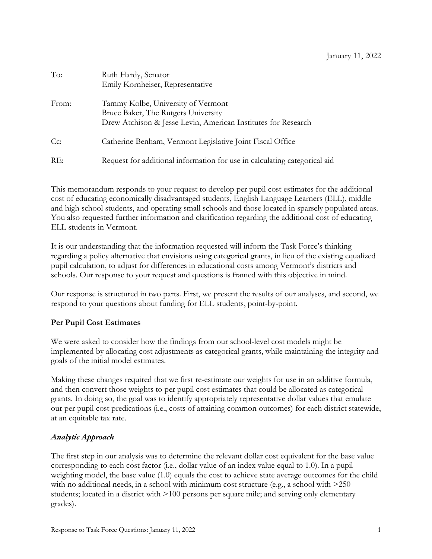| To:              | Ruth Hardy, Senator<br>Emily Kornheiser, Representative                                                                                    |
|------------------|--------------------------------------------------------------------------------------------------------------------------------------------|
| From:            | Tammy Kolbe, University of Vermont<br>Bruce Baker, The Rutgers University<br>Drew Atchison & Jesse Levin, American Institutes for Research |
| $C_{\mathbb{C}}$ | Catherine Benham, Vermont Legislative Joint Fiscal Office                                                                                  |
| RE:              | Request for additional information for use in calculating categorical aid                                                                  |

This memorandum responds to your request to develop per pupil cost estimates for the additional cost of educating economically disadvantaged students, English Language Learners (ELL), middle and high school students, and operating small schools and those located in sparsely populated areas. You also requested further information and clarification regarding the additional cost of educating ELL students in Vermont.

It is our understanding that the information requested will inform the Task Force's thinking regarding a policy alternative that envisions using categorical grants, in lieu of the existing equalized pupil calculation, to adjust for differences in educational costs among Vermont's districts and schools. Our response to your request and questions is framed with this objective in mind.

Our response is structured in two parts. First, we present the results of our analyses, and second, we respond to your questions about funding for ELL students, point-by-point.

# **Per Pupil Cost Estimates**

We were asked to consider how the findings from our school-level cost models might be implemented by allocating cost adjustments as categorical grants, while maintaining the integrity and goals of the initial model estimates.

Making these changes required that we first re-estimate our weights for use in an additive formula, and then convert those weights to per pupil cost estimates that could be allocated as categorical grants. In doing so, the goal was to identify appropriately representative dollar values that emulate our per pupil cost predications (i.e., costs of attaining common outcomes) for each district statewide, at an equitable tax rate.

# *Analytic Approach*

The first step in our analysis was to determine the relevant dollar cost equivalent for the base value corresponding to each cost factor (i.e., dollar value of an index value equal to 1.0). In a pupil weighting model, the base value (1.0) equals the cost to achieve state average outcomes for the child with no additional needs, in a school with minimum cost structure (e.g., a school with  $>250$ students; located in a district with  $>100$  persons per square mile; and serving only elementary grades).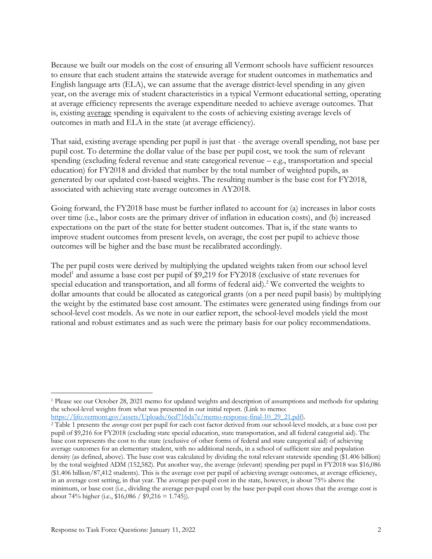Because we built our models on the cost of ensuring all Vermont schools have sufficient resources to ensure that each student attains the statewide average for student outcomes in mathematics and English language arts (ELA), we can assume that the average district-level spending in any given year, on the average mix of student characteristics in a typical Vermont educational setting, operating at average efficiency represents the average expenditure needed to achieve average outcomes. That is, existing average spending is equivalent to the costs of achieving existing average levels of outcomes in math and ELA in the state (at average efficiency).

That said, existing average spending per pupil is just that - the average overall spending, not base per pupil cost. To determine the dollar value of the base per pupil cost, we took the sum of relevant spending (excluding federal revenue and state categorical revenue – e.g., transportation and special education) for FY2018 and divided that number by the total number of weighted pupils, as generated by our updated cost-based weights. The resulting number is the base cost for FY2018, associated with achieving state average outcomes in AY2018.

Going forward, the FY2018 base must be further inflated to account for (a) increases in labor costs over time (i.e., labor costs are the primary driver of inflation in education costs), and (b) increased expectations on the part of the state for better student outcomes. That is, if the state wants to improve student outcomes from present levels, on average, the cost per pupil to achieve those outcomes will be higher and the base must be recalibrated accordingly.

The per pupil costs were derived by multiplying the updated weights taken from our school level model<sup>1</sup> and assume a base cost per pupil of \$9,219 for FY2018 (exclusive of state revenues for special education and transportation, and all forms of federal aid). <sup>2</sup> We converted the weights to dollar amounts that could be allocated as categorical grants (on a per need pupil basis) by multiplying the weight by the estimated base cost amount. The estimates were generated using findings from our school-level cost models. As we note in our earlier report, the school-level models yield the most rational and robust estimates and as such were the primary basis for our policy recommendations.

<sup>1</sup> Please see our October 28, 2021 memo for updated weights and description of assumptions and methods for updating the school-level weights from what was presented in our initial report. (Link to memo:

https://ljfo.vermont.gov/assets/Uploads/6cd716da7e/memo-response-final-10\_29\_21.pdf).

<sup>2</sup> Table 1 presents the *average* cost per pupil for each cost factor derived from our school-level models, at a base cost per pupil of \$9,216 for FY2018 (excluding state special education, state transportation, and all federal categorial aid). The base cost represents the cost to the state (exclusive of other forms of federal and state categorical aid) of achieving average outcomes for an elementary student, with no additional needs, in a school of sufficient size and population density (as defined, above). The base cost was calculated by dividing the total relevant statewide spending (\$1.406 billion) by the total weighted ADM (152,582). Put another way, the average (relevant) spending per pupil in FY2018 was \$16,086 (\$1.406 billion/87,412 students). This is the average cost per pupil of achieving average outcomes, at average efficiency, in an average cost setting, in that year. The average per-pupil cost in the state, however, is about 75% above the minimum, or base cost (i.e., dividing the average per-pupil cost by the base per-pupil cost shows that the average cost is about 74% higher (i.e.,  $$16,086 / $9,216 = 1.745$ )).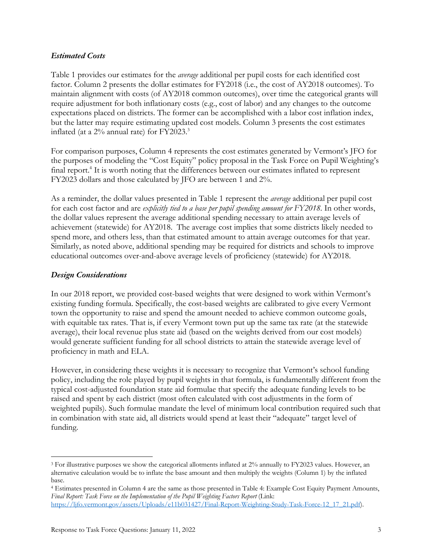## *Estimated Costs*

Table 1 provides our estimates for the *average* additional per pupil costs for each identified cost factor. Column 2 presents the dollar estimates for FY2018 (i.e., the cost of AY2018 outcomes). To maintain alignment with costs (of AY2018 common outcomes), over time the categorical grants will require adjustment for both inflationary costs (e.g., cost of labor) and any changes to the outcome expectations placed on districts. The former can be accomplished with a labor cost inflation index, but the latter may require estimating updated cost models. Column 3 presents the cost estimates inflated (at a 2% annual rate) for FY2023.<sup>3</sup>

For comparison purposes, Column 4 represents the cost estimates generated by Vermont's JFO for the purposes of modeling the "Cost Equity" policy proposal in the Task Force on Pupil Weighting's final report.<sup>4</sup> It is worth noting that the differences between our estimates inflated to represent FY2023 dollars and those calculated by JFO are between 1 and 2%.

As a reminder, the dollar values presented in Table 1 represent the *average* additional per pupil cost for each cost factor and are *explicitly tied to a base per pupil spending amount for FY2018*. In other words, the dollar values represent the average additional spending necessary to attain average levels of achievement (statewide) for AY2018. The average cost implies that some districts likely needed to spend more, and others less, than that estimated amount to attain average outcomes for that year. Similarly, as noted above, additional spending may be required for districts and schools to improve educational outcomes over-and-above average levels of proficiency (statewide) for AY2018.

## *Design Considerations*

In our 2018 report, we provided cost-based weights that were designed to work within Vermont's existing funding formula. Specifically, the cost-based weights are calibrated to give every Vermont town the opportunity to raise and spend the amount needed to achieve common outcome goals, with equitable tax rates. That is, if every Vermont town put up the same tax rate (at the statewide average), their local revenue plus state aid (based on the weights derived from our cost models) would generate sufficient funding for all school districts to attain the statewide average level of proficiency in math and ELA.

However, in considering these weights it is necessary to recognize that Vermont's school funding policy, including the role played by pupil weights in that formula, is fundamentally different from the typical cost-adjusted foundation state aid formulae that specify the adequate funding levels to be raised and spent by each district (most often calculated with cost adjustments in the form of weighted pupils). Such formulae mandate the level of minimum local contribution required such that in combination with state aid, all districts would spend at least their "adequate" target level of funding.

<sup>3</sup> For illustrative purposes we show the categorical allotments inflated at 2% annually to FY2023 values. However, an alternative calculation would be to inflate the base amount and then multiply the weights (Column 1) by the inflated base.

<sup>4</sup> Estimates presented in Column 4 are the same as those presented in Table 4: Example Cost Equity Payment Amounts, *Final Report: Task Force on the Implementation of the Pupil Weighting Factors Report* (Link: https://ljfo.vermont.gov/assets/Uploads/e11b031427/Final-Report-Weighting-Study-Task-Force-12\_17\_21.pdf).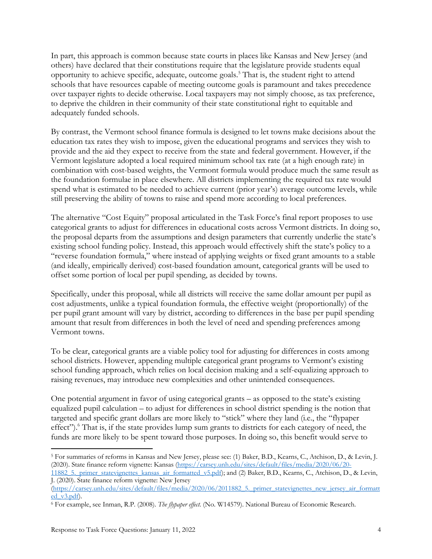In part, this approach is common because state courts in places like Kansas and New Jersey (and others) have declared that their constitutions require that the legislature provide students equal opportunity to achieve specific, adequate, outcome goals.5 That is, the student right to attend schools that have resources capable of meeting outcome goals is paramount and takes precedence over taxpayer rights to decide otherwise. Local taxpayers may not simply choose, as tax preference, to deprive the children in their community of their state constitutional right to equitable and adequately funded schools.

By contrast, the Vermont school finance formula is designed to let towns make decisions about the education tax rates they wish to impose, given the educational programs and services they wish to provide and the aid they expect to receive from the state and federal government. However, if the Vermont legislature adopted a local required minimum school tax rate (at a high enough rate) in combination with cost-based weights, the Vermont formula would produce much the same result as the foundation formulae in place elsewhere. All districts implementing the required tax rate would spend what is estimated to be needed to achieve current (prior year's) average outcome levels, while still preserving the ability of towns to raise and spend more according to local preferences.

The alternative "Cost Equity" proposal articulated in the Task Force's final report proposes to use categorical grants to adjust for differences in educational costs across Vermont districts. In doing so, the proposal departs from the assumptions and design parameters that currently underlie the state's existing school funding policy. Instead, this approach would effectively shift the state's policy to a "reverse foundation formula," where instead of applying weights or fixed grant amounts to a stable (and ideally, empirically derived) cost-based foundation amount, categorical grants will be used to offset some portion of local per pupil spending, as decided by towns.

Specifically, under this proposal, while all districts will receive the same dollar amount per pupil as cost adjustments, unlike a typical foundation formula, the effective weight (proportionally) of the per pupil grant amount will vary by district, according to differences in the base per pupil spending amount that result from differences in both the level of need and spending preferences among Vermont towns.

To be clear, categorical grants are a viable policy tool for adjusting for differences in costs among school districts. However, appending multiple categorical grant programs to Vermont's existing school funding approach, which relies on local decision making and a self-equalizing approach to raising revenues, may introduce new complexities and other unintended consequences.

One potential argument in favor of using categorical grants – as opposed to the state's existing equalized pupil calculation – to adjust for differences in school district spending is the notion that targeted and specific grant dollars are more likely to "stick" where they land (i.e., the "flypaper effect").<sup>6</sup> That is, if the state provides lump sum grants to districts for each category of need, the funds are more likely to be spent toward those purposes. In doing so, this benefit would serve to

<sup>5</sup> For summaries of reforms in Kansas and New Jersey, please see: (1) Baker, B.D., Kearns, C., Atchison, D., & Levin, J. (2020). State finance reform vignette: Kansas (https://carsey.unh.edu/sites/default/files/media/2020/06/20- 11882\_5.\_primer\_statevignettes\_kansas\_air\_formatted\_v5.pdf); and (2) Baker, B.D., Kearns, C., Atchison, D., & Levin,

J. (2020). State finance reform vignette: New Jersey

<sup>(</sup>https://carsey.unh.edu/sites/default/files/media/2020/06/2011882\_5.\_primer\_statevignettes\_new\_jersey\_air\_formatt ed\_v3.pdf). 6 For example, see Inman, R.P. (2008). *The flypaper effect.* (No. W14579). National Bureau of Economic Research.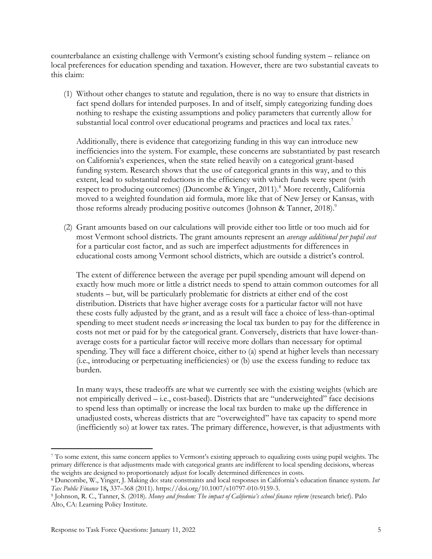counterbalance an existing challenge with Vermont's existing school funding system – reliance on local preferences for education spending and taxation. However, there are two substantial caveats to this claim:

(1) Without other changes to statute and regulation, there is no way to ensure that districts in fact spend dollars for intended purposes. In and of itself, simply categorizing funding does nothing to reshape the existing assumptions and policy parameters that currently allow for substantial local control over educational programs and practices and local tax rates.<sup>7</sup>

Additionally, there is evidence that categorizing funding in this way can introduce new inefficiencies into the system. For example, these concerns are substantiated by past research on California's experiences, when the state relied heavily on a categorical grant-based funding system. Research shows that the use of categorical grants in this way, and to this extent, lead to substantial reductions in the efficiency with which funds were spent (with respect to producing outcomes) (Duncombe & Yinger, 2011).<sup>8</sup> More recently, California moved to a weighted foundation aid formula, more like that of New Jersey or Kansas, with those reforms already producing positive outcomes (Johnson & Tanner, 2018).<sup>9</sup>

(2) Grant amounts based on our calculations will provide either too little or too much aid for most Vermont school districts. The grant amounts represent an *average additional per pupil cost* for a particular cost factor, and as such are imperfect adjustments for differences in educational costs among Vermont school districts, which are outside a district's control.

The extent of difference between the average per pupil spending amount will depend on exactly how much more or little a district needs to spend to attain common outcomes for all students – but, will be particularly problematic for districts at either end of the cost distribution. Districts that have higher average costs for a particular factor will not have these costs fully adjusted by the grant, and as a result will face a choice of less-than-optimal spending to meet student needs *or* increasing the local tax burden to pay for the difference in costs not met or paid for by the categorical grant. Conversely, districts that have lower-thanaverage costs for a particular factor will receive more dollars than necessary for optimal spending. They will face a different choice, either to (a) spend at higher levels than necessary (i.e., introducing or perpetuating inefficiencies) or (b) use the excess funding to reduce tax burden.

In many ways, these tradeoffs are what we currently see with the existing weights (which are not empirically derived – i.e., cost-based). Districts that are "underweighted" face decisions to spend less than optimally or increase the local tax burden to make up the difference in unadjusted costs, whereas districts that are "overweighted" have tax capacity to spend more (inefficiently so) at lower tax rates. The primary difference, however, is that adjustments with

<sup>7</sup> To some extent, this same concern applies to Vermont's existing approach to equalizing costs using pupil weights. The primary difference is that adjustments made with categorical grants are indifferent to local spending decisions, whereas the weights are designed to proportionately adjust for locally determined differences in costs.

<sup>8</sup> Duncombe, W., Yinger, J. Making do: state constraints and local responses in California's education finance system. Int *Tax Public Finance* 18**,** 337–368 (2011). https://doi.org/10.1007/s10797-010-9159-3.

<sup>9</sup> Johnson, R. C., Tanner, S. (2018). *Money and freedom: The impact of California's school finance reform* (research brief). Palo Alto, CA: Learning Policy Institute.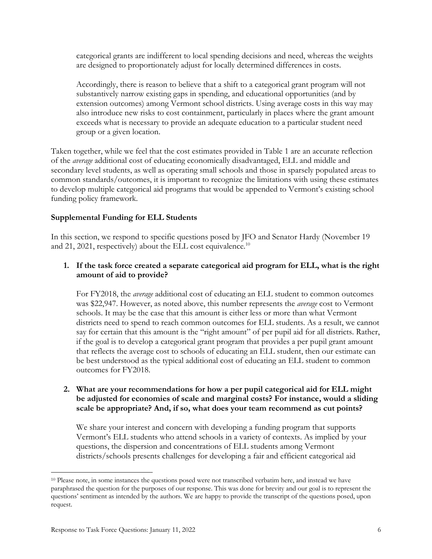categorical grants are indifferent to local spending decisions and need, whereas the weights are designed to proportionately adjust for locally determined differences in costs.

Accordingly, there is reason to believe that a shift to a categorical grant program will not substantively narrow existing gaps in spending, and educational opportunities (and by extension outcomes) among Vermont school districts. Using average costs in this way may also introduce new risks to cost containment, particularly in places where the grant amount exceeds what is necessary to provide an adequate education to a particular student need group or a given location.

Taken together, while we feel that the cost estimates provided in Table 1 are an accurate reflection of the *average* additional cost of educating economically disadvantaged, ELL and middle and secondary level students, as well as operating small schools and those in sparsely populated areas to common standards/outcomes, it is important to recognize the limitations with using these estimates to develop multiple categorical aid programs that would be appended to Vermont's existing school funding policy framework.

# **Supplemental Funding for ELL Students**

In this section, we respond to specific questions posed by JFO and Senator Hardy (November 19 and 21, 2021, respectively) about the ELL cost equivalence.<sup>10</sup>

## **1. If the task force created a separate categorical aid program for ELL, what is the right amount of aid to provide?**

For FY2018, the *average* additional cost of educating an ELL student to common outcomes was \$22,947. However, as noted above, this number represents the *average* cost to Vermont schools. It may be the case that this amount is either less or more than what Vermont districts need to spend to reach common outcomes for ELL students. As a result, we cannot say for certain that this amount is the "right amount" of per pupil aid for all districts. Rather, if the goal is to develop a categorical grant program that provides a per pupil grant amount that reflects the average cost to schools of educating an ELL student, then our estimate can be best understood as the typical additional cost of educating an ELL student to common outcomes for FY2018.

### **2. What are your recommendations for how a per pupil categorical aid for ELL might be adjusted for economies of scale and marginal costs? For instance, would a sliding scale be appropriate? And, if so, what does your team recommend as cut points?**

We share your interest and concern with developing a funding program that supports Vermont's ELL students who attend schools in a variety of contexts. As implied by your questions, the dispersion and concentrations of ELL students among Vermont districts/schools presents challenges for developing a fair and efficient categorical aid

<sup>10</sup> Please note, in some instances the questions posed were not transcribed verbatim here, and instead we have paraphrased the question for the purposes of our response. This was done for brevity and our goal is to represent the questions' sentiment as intended by the authors. We are happy to provide the transcript of the questions posed, upon request.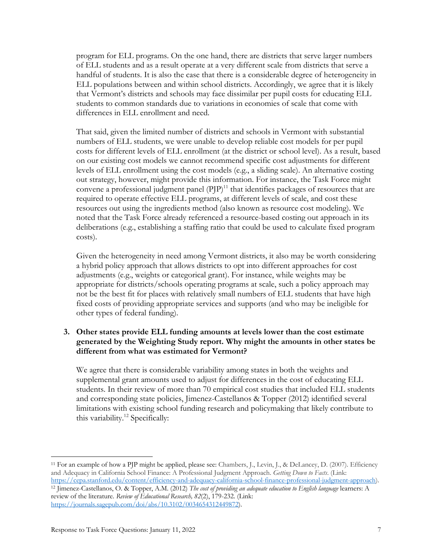program for ELL programs. On the one hand, there are districts that serve larger numbers of ELL students and as a result operate at a very different scale from districts that serve a handful of students. It is also the case that there is a considerable degree of heterogeneity in ELL populations between and within school districts. Accordingly, we agree that it is likely that Vermont's districts and schools may face dissimilar per pupil costs for educating ELL students to common standards due to variations in economies of scale that come with differences in ELL enrollment and need.

That said, given the limited number of districts and schools in Vermont with substantial numbers of ELL students, we were unable to develop reliable cost models for per pupil costs for different levels of ELL enrollment (at the district or school level). As a result, based on our existing cost models we cannot recommend specific cost adjustments for different levels of ELL enrollment using the cost models (e.g., a sliding scale). An alternative costing out strategy, however, might provide this information. For instance, the Task Force might convene a professional judgment panel  $(P|P)^{11}$  that identifies packages of resources that are required to operate effective ELL programs, at different levels of scale, and cost these resources out using the ingredients method (also known as resource cost modeling). We noted that the Task Force already referenced a resource-based costing out approach in its deliberations (e.g., establishing a staffing ratio that could be used to calculate fixed program costs).

Given the heterogeneity in need among Vermont districts, it also may be worth considering a hybrid policy approach that allows districts to opt into different approaches for cost adjustments (e.g., weights or categorical grant). For instance, while weights may be appropriate for districts/schools operating programs at scale, such a policy approach may not be the best fit for places with relatively small numbers of ELL students that have high fixed costs of providing appropriate services and supports (and who may be ineligible for other types of federal funding).

## **3. Other states provide ELL funding amounts at levels lower than the cost estimate generated by the Weighting Study report. Why might the amounts in other states be different from what was estimated for Vermont?**

We agree that there is considerable variability among states in both the weights and supplemental grant amounts used to adjust for differences in the cost of educating ELL students. In their review of more than 70 empirical cost studies that included ELL students and corresponding state policies, Jimenez-Castellanos & Topper (2012) identified several limitations with existing school funding research and policymaking that likely contribute to this variability.<sup>12</sup> Specifically:

<sup>11</sup> For an example of how a PJP might be applied, please see: Chambers, J., Levin, J., & DeLancey, D. (2007). Efficiency and Adequacy in California School Finance: A Professional Judgment Approach. *Getting Down to Facts*. (Link: https://cepa.stanford.edu/content/efficiency-and-adequacy-california-school-finance-professional-judgment-approach). <sup>12</sup> Jimenez-Castellanos, O. & Topper, A.M. (2012) *The cost of providing an adequate education to English language* learners: A review of the literature. *Review of Educational Research, 82*(2), 179-232. (Link: https://journals.sagepub.com/doi/abs/10.3102/0034654312449872).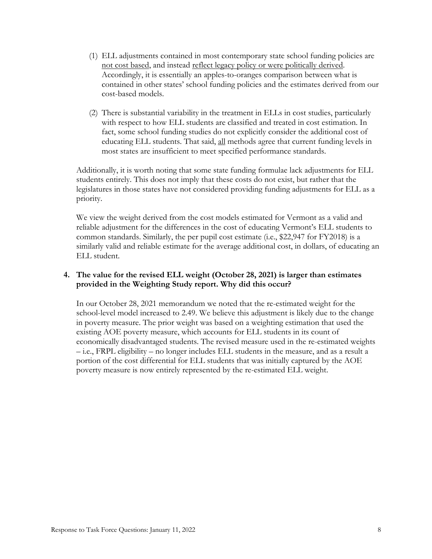- (1) ELL adjustments contained in most contemporary state school funding policies are not cost based, and instead reflect legacy policy or were politically derived. Accordingly, it is essentially an apples-to-oranges comparison between what is contained in other states' school funding policies and the estimates derived from our cost-based models.
- (2) There is substantial variability in the treatment in ELLs in cost studies, particularly with respect to how ELL students are classified and treated in cost estimation. In fact, some school funding studies do not explicitly consider the additional cost of educating ELL students. That said, all methods agree that current funding levels in most states are insufficient to meet specified performance standards.

Additionally, it is worth noting that some state funding formulae lack adjustments for ELL students entirely. This does not imply that these costs do not exist, but rather that the legislatures in those states have not considered providing funding adjustments for ELL as a priority.

We view the weight derived from the cost models estimated for Vermont as a valid and reliable adjustment for the differences in the cost of educating Vermont's ELL students to common standards. Similarly, the per pupil cost estimate (i.e., \$22,947 for FY2018) is a similarly valid and reliable estimate for the average additional cost, in dollars, of educating an ELL student.

## **4. The value for the revised ELL weight (October 28, 2021) is larger than estimates provided in the Weighting Study report. Why did this occur?**

In our October 28, 2021 memorandum we noted that the re-estimated weight for the school-level model increased to 2.49. We believe this adjustment is likely due to the change in poverty measure. The prior weight was based on a weighting estimation that used the existing AOE poverty measure, which accounts for ELL students in its count of economically disadvantaged students. The revised measure used in the re-estimated weights – i.e., FRPL eligibility – no longer includes ELL students in the measure, and as a result a portion of the cost differential for ELL students that was initially captured by the AOE poverty measure is now entirely represented by the re-estimated ELL weight.